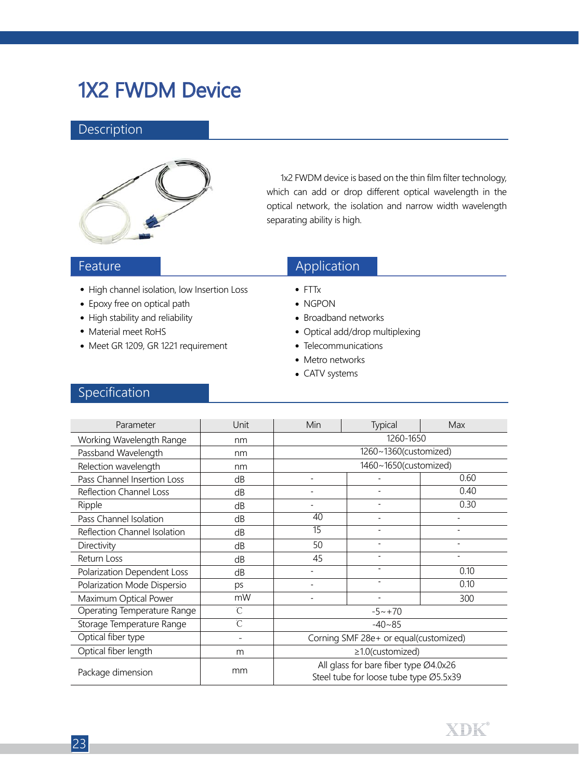# 1X2 FWDM Device

#### Description



 1x2 FWDM device is based on the thin film filter technology, which can add or drop different optical wavelength in the optical network, the isolation and narrow width wavelength separating ability is high.

#### Feature

- High channel isolation, low Insertion Loss
- Epoxy free on optical path
- High stability and reliability
- Material meet RoHS
- Meet GR 1209, GR 1221 requirement

### Application

- FTTx
- NGPON
- Broadband networks
- Optical add/drop multiplexing
- Telecommunications
- Metro networks
- CATV systems

### Specification

| Parameter                    | Unit | Min                                                                             | Typical                  | Max                      |  |  |
|------------------------------|------|---------------------------------------------------------------------------------|--------------------------|--------------------------|--|--|
| Working Wavelength Range     | nm   | 1260-1650                                                                       |                          |                          |  |  |
| Passband Wavelength          | nm   | 1260~1360(customized)                                                           |                          |                          |  |  |
| Relection wavelength         | nm   | 1460~1650(customized)                                                           |                          |                          |  |  |
| Pass Channel Insertion Loss  | dB   |                                                                                 |                          | 0.60                     |  |  |
| Reflection Channel Loss      | dB   |                                                                                 |                          | 0.40                     |  |  |
| Ripple                       | dB   |                                                                                 |                          | 0.30                     |  |  |
| Pass Channel Isolation       | dB   | 40                                                                              | $\blacksquare$           | $\overline{\phantom{a}}$ |  |  |
| Reflection Channel Isolation | dB   | 15                                                                              | ٠                        | $\blacksquare$           |  |  |
| Directivity                  | dB   | 50                                                                              | $\overline{\phantom{0}}$ | $\overline{\phantom{0}}$ |  |  |
| Return Loss                  | dB   | 45                                                                              |                          |                          |  |  |
| Polarization Dependent Loss  | dB   |                                                                                 |                          | 0.10                     |  |  |
| Polarization Mode Dispersio  | ps   |                                                                                 | $\blacksquare$           | 0.10                     |  |  |
| Maximum Optical Power        | mW   |                                                                                 |                          | 300                      |  |  |
| Operating Temperature Range  | Ĉ    | $-5 \sim +70$                                                                   |                          |                          |  |  |
| Storage Temperature Range    | Ĉ    | $-40 - 85$                                                                      |                          |                          |  |  |
| Optical fiber type           |      | Corning SMF 28e+ or equal(customized)                                           |                          |                          |  |  |
| Optical fiber length         | m    | $\geq$ 1.0(customized)                                                          |                          |                          |  |  |
| Package dimension            | mm   | All glass for bare fiber type Ø4.0x26<br>Steel tube for loose tube type Ø5.5x39 |                          |                          |  |  |